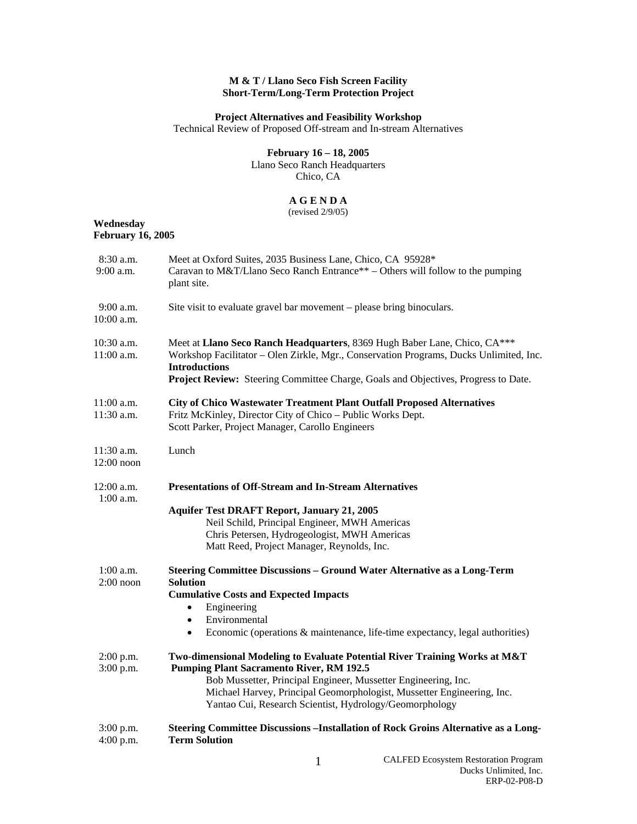## **M & T / Llano Seco Fish Screen Facility Short-Term/Long-Term Protection Project**

## **Project Alternatives and Feasibility Workshop**

Technical Review of Proposed Off-stream and In-stream Alternatives

# **February 16 – 18, 2005**

Llano Seco Ranch Headquarters Chico, CA

## **A G E N D A**

(revised 2/9/05)

#### **Wednesday February 16, 2005**

| 8:30 a.m.<br>$9:00$ a.m.     | Meet at Oxford Suites, 2035 Business Lane, Chico, CA 95928*<br>Caravan to M&T/Llano Seco Ranch Entrance** – Others will follow to the pumping<br>plant site.                                                                                                                                                                         |
|------------------------------|--------------------------------------------------------------------------------------------------------------------------------------------------------------------------------------------------------------------------------------------------------------------------------------------------------------------------------------|
| $9:00$ a.m.<br>$10:00$ a.m.  | Site visit to evaluate gravel bar movement - please bring binoculars.                                                                                                                                                                                                                                                                |
| 10:30 a.m.<br>$11:00$ a.m.   | Meet at Llano Seco Ranch Headquarters, 8369 Hugh Baber Lane, Chico, CA***<br>Workshop Facilitator - Olen Zirkle, Mgr., Conservation Programs, Ducks Unlimited, Inc.<br><b>Introductions</b><br>Project Review: Steering Committee Charge, Goals and Objectives, Progress to Date.                                                    |
| 11:00 a.m.<br>11:30 a.m.     | <b>City of Chico Wastewater Treatment Plant Outfall Proposed Alternatives</b><br>Fritz McKinley, Director City of Chico - Public Works Dept.<br>Scott Parker, Project Manager, Carollo Engineers                                                                                                                                     |
| $11:30$ a.m.<br>$12:00$ noon | Lunch                                                                                                                                                                                                                                                                                                                                |
| $12:00$ a.m.<br>$1:00$ a.m.  | <b>Presentations of Off-Stream and In-Stream Alternatives</b><br><b>Aquifer Test DRAFT Report, January 21, 2005</b><br>Neil Schild, Principal Engineer, MWH Americas<br>Chris Petersen, Hydrogeologist, MWH Americas<br>Matt Reed, Project Manager, Reynolds, Inc.                                                                   |
| $1:00$ a.m.<br>$2:00$ noon   | <b>Steering Committee Discussions - Ground Water Alternative as a Long-Term</b><br><b>Solution</b><br><b>Cumulative Costs and Expected Impacts</b><br>Engineering<br>Environmental<br>$\bullet$<br>Economic (operations & maintenance, life-time expectancy, legal authorities)<br>$\bullet$                                         |
| $2:00$ p.m.<br>3:00 p.m.     | Two-dimensional Modeling to Evaluate Potential River Training Works at M&T<br><b>Pumping Plant Sacramento River, RM 192.5</b><br>Bob Mussetter, Principal Engineer, Mussetter Engineering, Inc.<br>Michael Harvey, Principal Geomorphologist, Mussetter Engineering, Inc.<br>Yantao Cui, Research Scientist, Hydrology/Geomorphology |
| 3:00 p.m.<br>4:00 p.m.       | Steering Committee Discussions --Installation of Rock Groins Alternative as a Long-<br><b>Term Solution</b>                                                                                                                                                                                                                          |
|                              |                                                                                                                                                                                                                                                                                                                                      |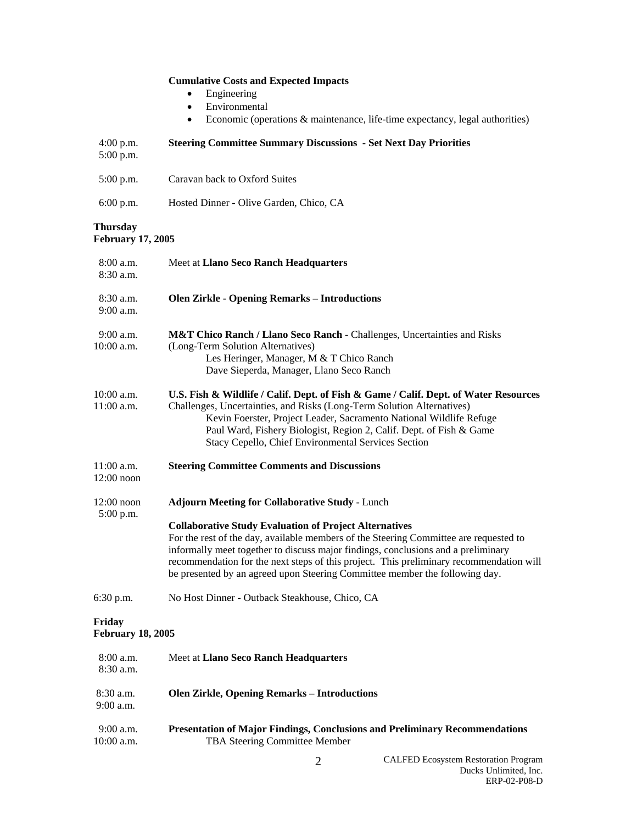|                                             | <b>Cumulative Costs and Expected Impacts</b><br>Engineering<br>Environmental<br>$\bullet$<br>Economic (operations & maintenance, life-time expectancy, legal authorities)<br>$\bullet$                                                                                                                                                                                                                                |
|---------------------------------------------|-----------------------------------------------------------------------------------------------------------------------------------------------------------------------------------------------------------------------------------------------------------------------------------------------------------------------------------------------------------------------------------------------------------------------|
| $4:00$ p.m.<br>5:00 p.m.                    | <b>Steering Committee Summary Discussions - Set Next Day Priorities</b>                                                                                                                                                                                                                                                                                                                                               |
| 5:00 p.m.                                   | Caravan back to Oxford Suites                                                                                                                                                                                                                                                                                                                                                                                         |
| $6:00$ p.m.                                 | Hosted Dinner - Olive Garden, Chico, CA                                                                                                                                                                                                                                                                                                                                                                               |
| <b>Thursday</b><br><b>February 17, 2005</b> |                                                                                                                                                                                                                                                                                                                                                                                                                       |
| $8:00$ a.m.<br>$8:30$ a.m.                  | Meet at Llano Seco Ranch Headquarters                                                                                                                                                                                                                                                                                                                                                                                 |
| 8:30 a.m.<br>9:00 a.m.                      | <b>Olen Zirkle - Opening Remarks - Introductions</b>                                                                                                                                                                                                                                                                                                                                                                  |
| 9:00 a.m.<br>10:00 a.m.                     | M&T Chico Ranch / Llano Seco Ranch - Challenges, Uncertainties and Risks<br>(Long-Term Solution Alternatives)<br>Les Heringer, Manager, M & T Chico Ranch<br>Dave Sieperda, Manager, Llano Seco Ranch                                                                                                                                                                                                                 |
| 10:00 a.m.<br>11:00 a.m.                    | U.S. Fish & Wildlife / Calif. Dept. of Fish & Game / Calif. Dept. of Water Resources<br>Challenges, Uncertainties, and Risks (Long-Term Solution Alternatives)<br>Kevin Foerster, Project Leader, Sacramento National Wildlife Refuge<br>Paul Ward, Fishery Biologist, Region 2, Calif. Dept. of Fish & Game<br>Stacy Cepello, Chief Environmental Services Section                                                   |
| $11:00$ a.m.<br>$12:00$ noon                | <b>Steering Committee Comments and Discussions</b>                                                                                                                                                                                                                                                                                                                                                                    |
| $12:00$ noon<br>5:00 p.m.                   | <b>Adjourn Meeting for Collaborative Study - Lunch</b>                                                                                                                                                                                                                                                                                                                                                                |
|                                             | <b>Collaborative Study Evaluation of Project Alternatives</b><br>For the rest of the day, available members of the Steering Committee are requested to<br>informally meet together to discuss major findings, conclusions and a preliminary<br>recommendation for the next steps of this project. This preliminary recommendation will<br>be presented by an agreed upon Steering Committee member the following day. |
| 6:30 p.m.                                   | No Host Dinner - Outback Steakhouse, Chico, CA                                                                                                                                                                                                                                                                                                                                                                        |
| Friday<br><b>February 18, 2005</b>          |                                                                                                                                                                                                                                                                                                                                                                                                                       |
| $8:00$ a.m.<br>8:30 a.m.                    | Meet at Llano Seco Ranch Headquarters                                                                                                                                                                                                                                                                                                                                                                                 |
| 8:30 a.m.<br>9:00 a.m.                      | <b>Olen Zirkle, Opening Remarks - Introductions</b>                                                                                                                                                                                                                                                                                                                                                                   |
| $9:00$ a.m.<br>10:00 a.m.                   | <b>Presentation of Major Findings, Conclusions and Preliminary Recommendations</b><br>TBA Steering Committee Member                                                                                                                                                                                                                                                                                                   |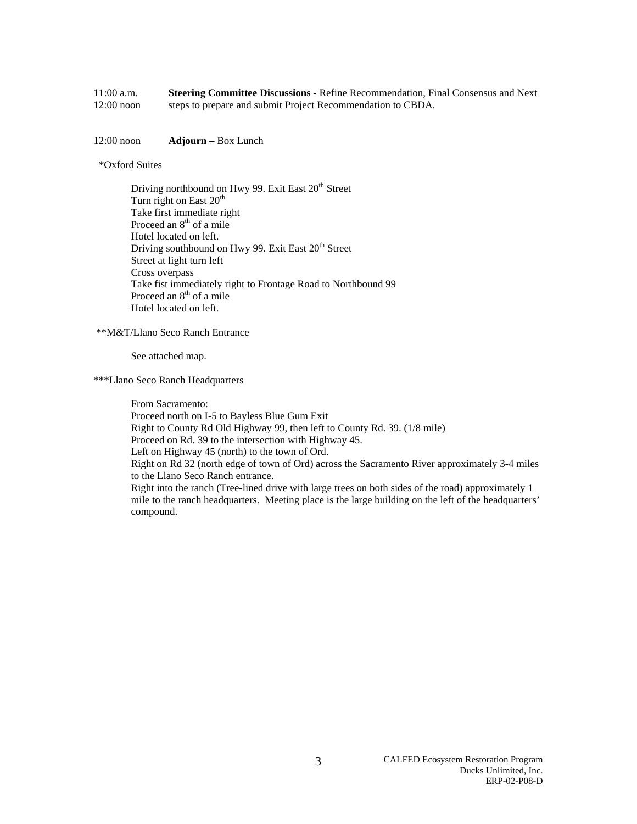| $11:00$ a.m. | <b>Steering Committee Discussions - Refine Recommendation, Final Consensus and Next</b> |
|--------------|-----------------------------------------------------------------------------------------|
| $12:00$ noon | steps to prepare and submit Project Recommendation to CBDA.                             |

12:00 noon **Adjourn –** Box Lunch

#### \*Oxford Suites

Driving northbound on Hwy 99. Exit East 20<sup>th</sup> Street Turn right on East  $20<sup>th</sup>$  Take first immediate right Proceed an 8<sup>th</sup> of a mile Hotel located on left. Driving southbound on Hwy 99. Exit East 20<sup>th</sup> Street Street at light turn left Cross overpass Take fist immediately right to Frontage Road to Northbound 99 Proceed an  $8<sup>th</sup>$  of a mile Hotel located on left.

#### \*\*M&T/Llano Seco Ranch Entrance

See attached map.

\*\*\*Llano Seco Ranch Headquarters

From Sacramento:

Proceed north on I-5 to Bayless Blue Gum Exit

Right to County Rd Old Highway 99, then left to County Rd. 39. (1/8 mile)

Proceed on Rd. 39 to the intersection with Highway 45.

Left on Highway 45 (north) to the town of Ord.

Right on Rd 32 (north edge of town of Ord) across the Sacramento River approximately 3-4 miles to the Llano Seco Ranch entrance.

Right into the ranch (Tree-lined drive with large trees on both sides of the road) approximately 1 mile to the ranch headquarters. Meeting place is the large building on the left of the headquarters' compound.